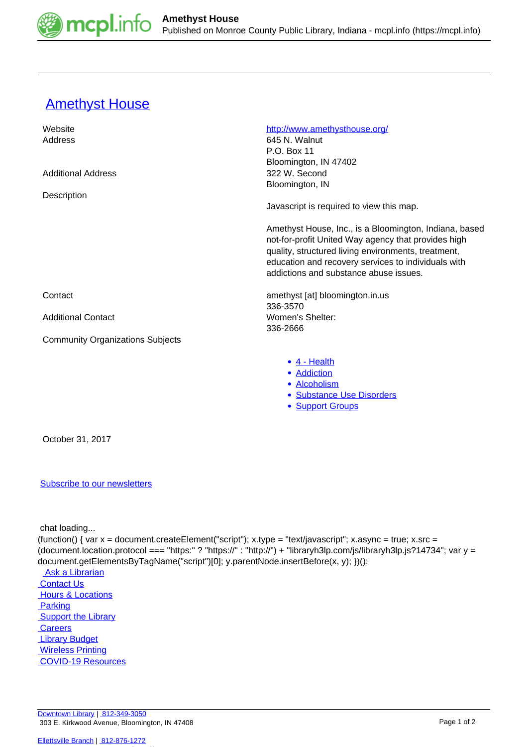

## **[Amethyst House](https://mcpl.info/commorg/amethyst-house)**

| Website                                 | http://www.amethysthouse.org/                                                                                                                                                                                                                                         |
|-----------------------------------------|-----------------------------------------------------------------------------------------------------------------------------------------------------------------------------------------------------------------------------------------------------------------------|
| Address                                 | 645 N. Walnut                                                                                                                                                                                                                                                         |
|                                         | P.O. Box 11                                                                                                                                                                                                                                                           |
|                                         | Bloomington, IN 47402                                                                                                                                                                                                                                                 |
| <b>Additional Address</b>               | 322 W. Second                                                                                                                                                                                                                                                         |
|                                         | Bloomington, IN                                                                                                                                                                                                                                                       |
| Description                             |                                                                                                                                                                                                                                                                       |
|                                         | Javascript is required to view this map.                                                                                                                                                                                                                              |
|                                         | Amethyst House, Inc., is a Bloomington, Indiana, based<br>not-for-profit United Way agency that provides high<br>quality, structured living environments, treatment,<br>education and recovery services to individuals with<br>addictions and substance abuse issues. |
| Contact                                 | amethyst [at] bloomington.in.us<br>336-3570                                                                                                                                                                                                                           |
| <b>Additional Contact</b>               | Women's Shelter:<br>336-2666                                                                                                                                                                                                                                          |
| <b>Community Organizations Subjects</b> |                                                                                                                                                                                                                                                                       |
|                                         | $\bullet$ 4 - Health<br>• Addiction                                                                                                                                                                                                                                   |
|                                         | • Alcoholism                                                                                                                                                                                                                                                          |
|                                         | <b>Substance Use Disorders</b>                                                                                                                                                                                                                                        |
|                                         | <b>Support Groups</b><br>$\bullet$                                                                                                                                                                                                                                    |
| October 31, 2017                        |                                                                                                                                                                                                                                                                       |

## [Subscribe to our newsletters](https://mcpl.info/geninfo/subscribe-think-library-newsletter)

chat loading...

(function() { var  $x =$  document.createElement("script");  $x.\text{type} =$  "text/javascript";  $x.\text{async} =$  true;  $x.\text{src} =$ (document.location.protocol === "https:" ? "https://" : "http://") + "libraryh3lp.com/js/libraryh3lp.js?14734"; var y = document.getElementsByTagName("script")[0]; y.parentNode.insertBefore(x, y); })(); Ask a Librarian **Contact Us Hours & Locations Parking**  [Support the Library](https://mcpl.info/geninfo/support-library?utm_source=footer&utm_medium=links&utm_campaign=support%20) **Careers Library Budget Wireless Printing**  [COVID-19 Resources](https://mcpl.info/geninfo/local-covid-resources)